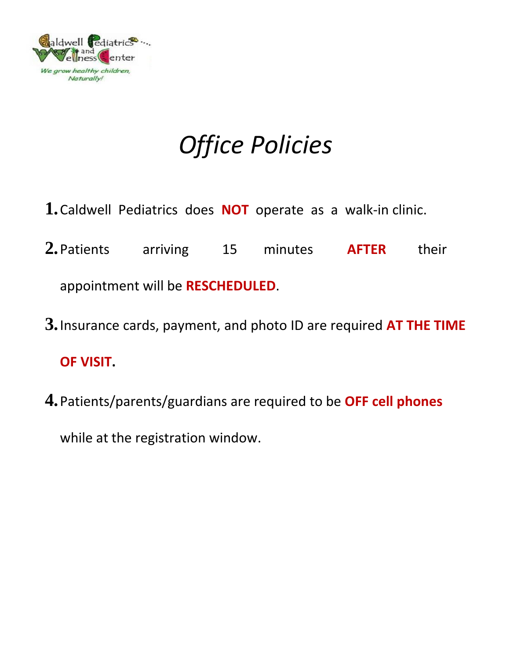

# *Office Policies*

- **1.**Caldwell Pediatrics does **NOT** operate as a walk-in clinic.
- **2.**Patients arriving 15 minutes **AFTER** their appointment will be **RESCHEDULED**.
- **3.**Insurance cards, payment, and photo ID are required **AT THE TIME OF VISIT.**
- **4.**Patients/parents/guardians are required to be **OFF cell phones**

while at the registration window.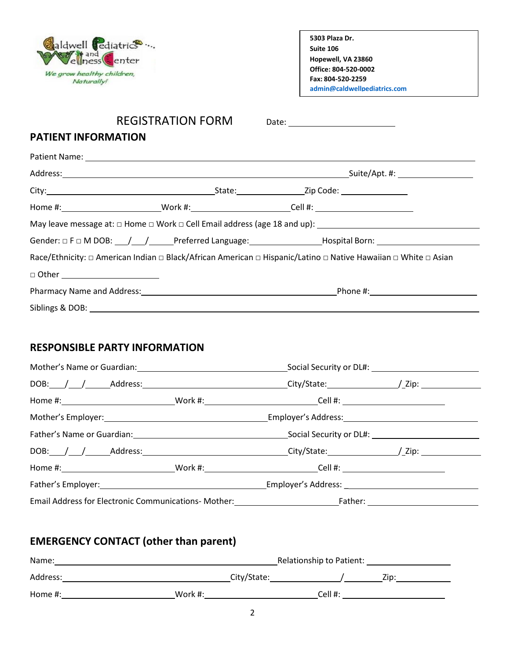

| 5303 Plaza Dr.               |  |
|------------------------------|--|
| Suite 106                    |  |
| Hopewell, VA 23860           |  |
| Office: 804-520-0002         |  |
| Fax: 804-520-2259            |  |
| admin@caldwellpediatrics.com |  |

**Caldwellpediatrics.com**

# REGISTRATION FORM Date: \_\_\_\_\_\_\_\_\_\_\_\_\_\_\_\_\_\_\_\_\_\_

### **PATIENT INFORMATION**

| Race/Ethnicity: □ American Indian □ Black/African American □ Hispanic/Latino □ Native Hawaiian □ White □ Asian |  |  |  |
|----------------------------------------------------------------------------------------------------------------|--|--|--|
| □ Other _________________________                                                                              |  |  |  |
|                                                                                                                |  |  |  |
| Siblings & DOB: ______________________                                                                         |  |  |  |

## **RESPONSIBLE PARTY INFORMATION**

| DOB: / / / Address: Address: City/State: / / Zip: / / Zip:                        |  |  |  |
|-----------------------------------------------------------------------------------|--|--|--|
|                                                                                   |  |  |  |
|                                                                                   |  |  |  |
| Father's Name or Guardian: Social Security or DL#:                                |  |  |  |
| DOB: / / Address: Address: City/State: / / Zip: //2ip:                            |  |  |  |
|                                                                                   |  |  |  |
| Father's Employer: Employer's Address: Employer's Address:                        |  |  |  |
| Email Address for Electronic Communications- Mother: Father: Father: 1990 Father: |  |  |  |

# **EMERGENCY CONTACT (other than parent)**

| Name:      | Relationship to Patient: |        |      |
|------------|--------------------------|--------|------|
| Address:   | City/State:              |        | Zip: |
| Home $#$ : | Work #:                  | Cell#: |      |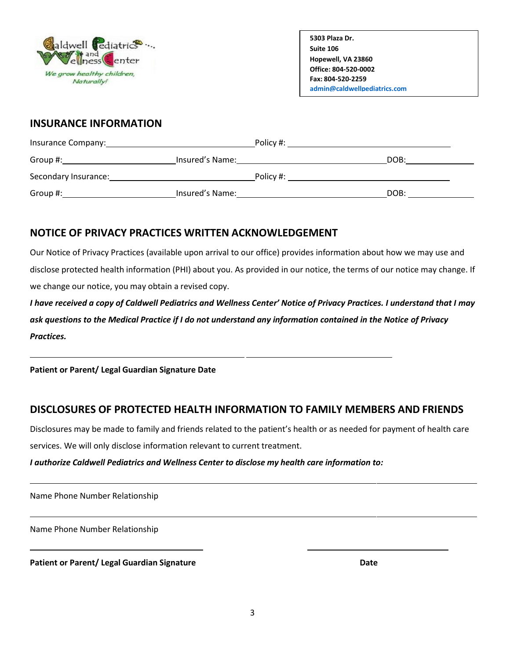

**Caldwellpediatrics.com**

### **INSURANCE INFORMATION**

| Insurance Company:   | Policy #:       |      |
|----------------------|-----------------|------|
| Group #:             | Insured's Name: | DOB: |
| Secondary Insurance: | Policy #:       |      |
| Group #:             | Insured's Name: | DOB: |

## **NOTICE OF PRIVACY PRACTICES WRITTEN ACKNOWLEDGEMENT**

Our Notice of Privacy Practices (available upon arrival to our office) provides information about how we may use and disclose protected health information (PHI) about you. As provided in our notice, the terms of our notice may change. If we change our notice, you may obtain a revised copy.

*I have received a copy of Caldwell Pediatrics and Wellness Center' Notice of Privacy Practices. I understand that I may ask questions to the Medical Practice if I do not understand any information contained in the Notice of Privacy Practices.*

**Patient or Parent/ Legal Guardian Signature Date**

# **DISCLOSURES OF PROTECTED HEALTH INFORMATION TO FAMILY MEMBERS AND FRIENDS**

Disclosures may be made to family and friends related to the patient's health or as needed for payment of health care services. We will only disclose information relevant to current treatment.

## *I authorize Caldwell Pediatrics and Wellness Center to disclose my health care information to:*

Name Phone Number Relationship

Name Phone Number Relationship

**Patient or Parent/ Legal Guardian Signature Date**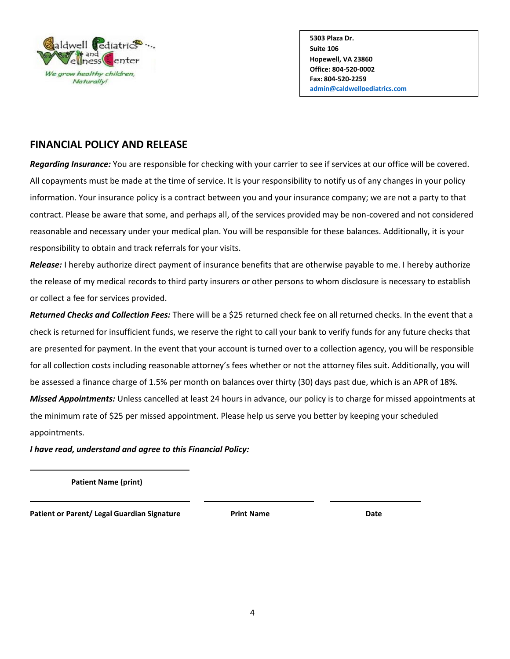

**Caldwellpediatrics.com**

### **FINANCIAL POLICY AND RELEASE**

*Regarding Insurance:* You are responsible for checking with your carrier to see if services at our office will be covered. All copayments must be made at the time of service. It is your responsibility to notify us of any changes in your policy information. Your insurance policy is a contract between you and your insurance company; we are not a party to that contract. Please be aware that some, and perhaps all, of the services provided may be non-covered and not considered reasonable and necessary under your medical plan. You will be responsible for these balances. Additionally, it is your responsibility to obtain and track referrals for your visits.

*Release:* I hereby authorize direct payment of insurance benefits that are otherwise payable to me. I hereby authorize the release of my medical records to third party insurers or other persons to whom disclosure is necessary to establish or collect a fee for services provided.

*Returned Checks and Collection Fees:* There will be a \$25 returned check fee on all returned checks. In the event that a check is returned for insufficient funds, we reserve the right to call your bank to verify funds for any future checks that are presented for payment. In the event that your account is turned over to a collection agency, you will be responsible for all collection costs including reasonable attorney's fees whether or not the attorney files suit. Additionally, you will be assessed a finance charge of 1.5% per month on balances over thirty (30) days past due, which is an APR of 18%. *Missed Appointments:* Unless cancelled at least 24 hours in advance, our policy is to charge for missed appointments at the minimum rate of \$25 per missed appointment. Please help us serve you better by keeping your scheduled appointments.

*I have read, understand and agree to this Financial Policy:*

**Patient Name (print)**

**Patient or Parent/ Legal Guardian Signature Print Name Date**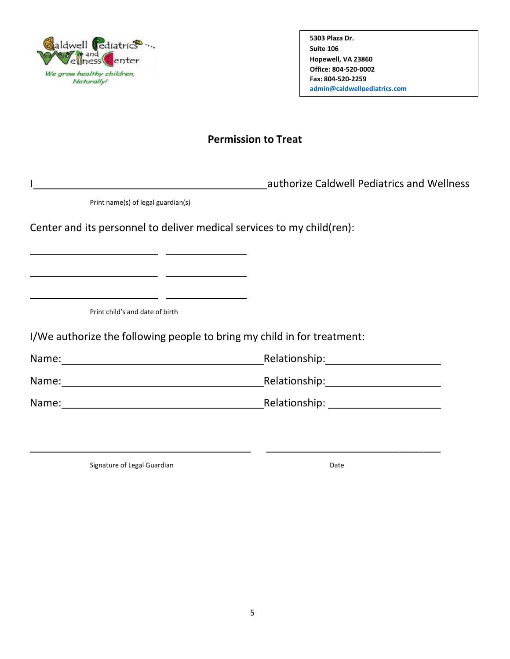

**Caldwellpediatrics.com**

## **Permission to Treat**

I authorize Caldwell Pediatrics and Wellness

Print name(s) of legal guardian(s)

<u> 1990 - John Maria Barristo, martin </u>

Center and its personnel to deliver medical services to my child(ren):

Print child's and date of birth

I/We authorize the following people to bring my child in for treatment:

Name: Name: Relationship: Relationship: Relationship:

Name: Name: Relationship: Relationship:

Name: Relationship:

Signature of Legal Guardian Date Communication of Legal Guardian Date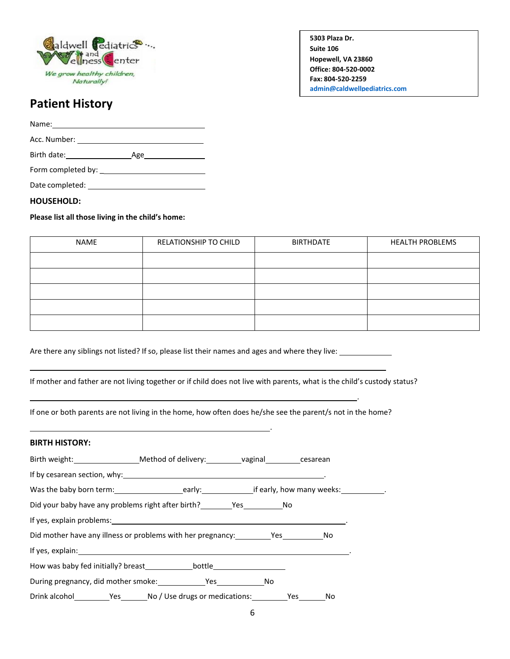

.

**Caldwellpediatrics.com**

# **Patient History**

Name: Acc. Number: William Contract Contract Contract Contract Contract Contract Contract Contract Contract Contract Contract Contract Contract Contract Contract Contract Contract Contract Contract Contract Contract Contract Con Birth date: Age

Form completed by: \_

Date completed:

#### **HOUSEHOLD:**

#### **Please list all those living in the child's home:**

| NAME | RELATIONSHIP TO CHILD | <b>BIRTHDATE</b> | <b>HEALTH PROBLEMS</b> |
|------|-----------------------|------------------|------------------------|
|      |                       |                  |                        |
|      |                       |                  |                        |
|      |                       |                  |                        |
|      |                       |                  |                        |
|      |                       |                  |                        |

.

Are there any siblings not listed? If so, please list their names and ages and where they live:

If mother and father are not living together or if child does not live with parents, what is the child's custody status?

If one or both parents are not living in the home, how often does he/she see the parent/s not in the home?

#### **BIRTH HISTORY:**

| Birth weight: _____________________Method of delivery: ___________________________cesarean                                 |  |
|----------------------------------------------------------------------------------------------------------------------------|--|
|                                                                                                                            |  |
| Was the baby born term: __________________________early: ________________________ if early, how many weeks: _____________. |  |
|                                                                                                                            |  |
| If yes, explain problems: 1999 and 2009 and 2009 and 2009 and 2009 and 2009 and 2009 and 2009 and 2009 and 200             |  |
|                                                                                                                            |  |
|                                                                                                                            |  |
|                                                                                                                            |  |
| During pregnancy, did mother smoke: Yes No                                                                                 |  |
|                                                                                                                            |  |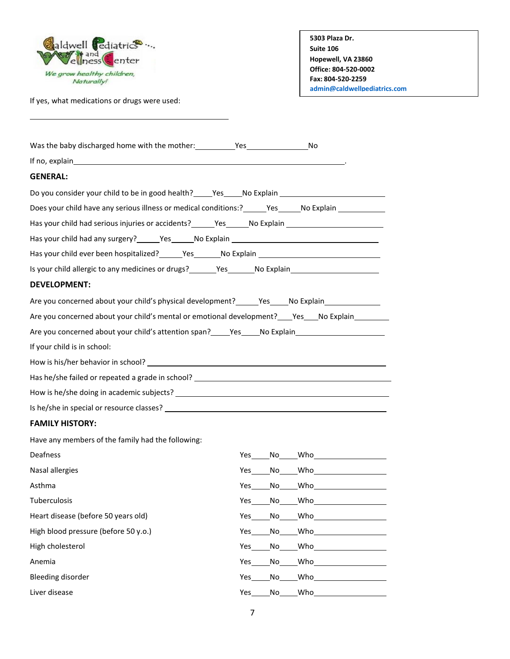

If yes, what medications or drugs were used:

| 5303 Plaza Dr.               |
|------------------------------|
| Suite 106                    |
| Hopewell, VA 23860           |
| Office: 804-520-0002         |
| Fax: 804-520-2259            |
| admin@caldwellpediatrics.com |

**Caldwellpediatrics.com**

| If no, explain explain the state of the state of the state of the state of the state of the state of the state of the state of the state of the state of the state of the state of the state of the state of the state of the |                                                                                                                                                                                                                                              |
|-------------------------------------------------------------------------------------------------------------------------------------------------------------------------------------------------------------------------------|----------------------------------------------------------------------------------------------------------------------------------------------------------------------------------------------------------------------------------------------|
| <b>GENERAL:</b>                                                                                                                                                                                                               |                                                                                                                                                                                                                                              |
| Do you consider your child to be in good health? _____Yes_____No Explain __________________________                                                                                                                           |                                                                                                                                                                                                                                              |
| Does your child have any serious illness or medical conditions:? _______Yes______No Explain ________                                                                                                                          |                                                                                                                                                                                                                                              |
| Has your child had serious injuries or accidents? ______Yes ______No Explain ______________________                                                                                                                           |                                                                                                                                                                                                                                              |
|                                                                                                                                                                                                                               |                                                                                                                                                                                                                                              |
| Has your child ever been hospitalized? _______ Yes________ No Explain ______________________________                                                                                                                          |                                                                                                                                                                                                                                              |
| Is your child allergic to any medicines or drugs? _______Yes_______No Explain_______________________                                                                                                                          |                                                                                                                                                                                                                                              |
| <b>DEVELOPMENT:</b>                                                                                                                                                                                                           |                                                                                                                                                                                                                                              |
| Are you concerned about your child's physical development? _______Yes______No Explain______________                                                                                                                           |                                                                                                                                                                                                                                              |
| Are you concerned about your child's mental or emotional development? _____Yes_____No Explain___________                                                                                                                      |                                                                                                                                                                                                                                              |
| Are you concerned about your child's attention span? ______Yes _____No Explain _____________________                                                                                                                          |                                                                                                                                                                                                                                              |
| If your child is in school:                                                                                                                                                                                                   |                                                                                                                                                                                                                                              |
|                                                                                                                                                                                                                               |                                                                                                                                                                                                                                              |
| Has he/she failed or repeated a grade in school? _______________________________                                                                                                                                              |                                                                                                                                                                                                                                              |
|                                                                                                                                                                                                                               |                                                                                                                                                                                                                                              |
|                                                                                                                                                                                                                               |                                                                                                                                                                                                                                              |
| <b>FAMILY HISTORY:</b>                                                                                                                                                                                                        |                                                                                                                                                                                                                                              |
| Have any members of the family had the following:                                                                                                                                                                             |                                                                                                                                                                                                                                              |
| Deafness                                                                                                                                                                                                                      |                                                                                                                                                                                                                                              |
| Nasal allergies                                                                                                                                                                                                               | Yes No Who                                                                                                                                                                                                                                   |
| Asthma                                                                                                                                                                                                                        |                                                                                                                                                                                                                                              |
| Tuberculosis                                                                                                                                                                                                                  | Yes No Who the Management of the Management of the Management of the Management of the Management of the Manag                                                                                                                               |
| Heart disease (before 50 years old)                                                                                                                                                                                           | Who<br>Yes<br>No                                                                                                                                                                                                                             |
| High blood pressure (before 50 y.o.)                                                                                                                                                                                          | Who<br>Yes<br>No                                                                                                                                                                                                                             |
| High cholesterol                                                                                                                                                                                                              | Who<br>Yes<br>No                                                                                                                                                                                                                             |
| Anemia                                                                                                                                                                                                                        | Who when we have a set of the set of the set of the set of the set of the set of the set of the set of the set of the set of the set of the set of the set of the set of the set of the set of the set of the set of the set o<br>Yes_<br>No |
| <b>Bleeding disorder</b>                                                                                                                                                                                                      | Who<br>Yes<br>No                                                                                                                                                                                                                             |
| Liver disease                                                                                                                                                                                                                 | Who<br>Yes<br>No                                                                                                                                                                                                                             |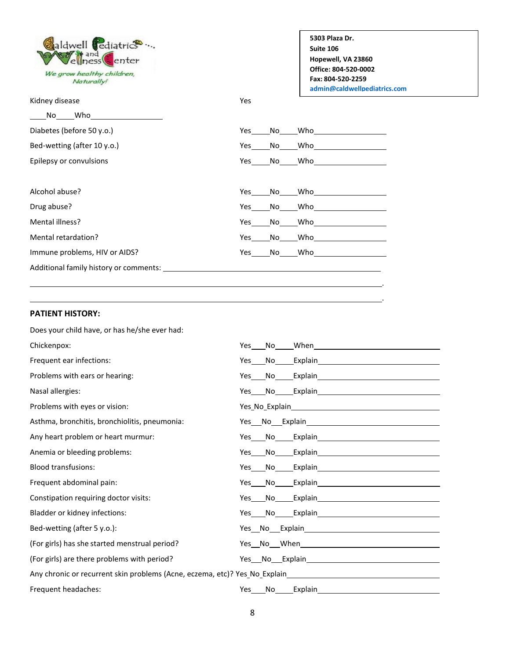Caldwell Cediatrics ... and enter ess We grow healthy children, Naturally!

Kidney disease Yes

**5303 Plaza Dr. Suite 106 Hopewell, VA 23860 Office: 804-520-0002 Fax: 804-520-2259 [admin@caldwellpediatrics.com](mailto:admin@caldwellpediatrics.com)**

> . .

**Caldwellpediatrics.com**

| No l<br>Who                 |            |      |            |
|-----------------------------|------------|------|------------|
| Diabetes (before 50 y.o.)   | Yes        | No l | Who        |
| Bed-wetting (after 10 y.o.) | Yes        | No   | Who        |
| Epilepsy or convulsions     |            |      | Yes No Who |
|                             |            |      |            |
| Alcohol abuse?              | Yes        | No   | Who        |
| Drug abuse?                 | Yes        | No   | Who        |
| Mental illness?             | <b>Yes</b> | No   | Who        |

Mental retardation? The Manuscription of the Message No Who Who Message No Who Who Message No. 1999 Immune problems, HIV or AIDS? The Mass Control of Messeng No Who Who Messeng Who Who Messeng Who Who Messeng W

Additional family history or comments:

#### **PATIENT HISTORY:**

| Does your child have, or has he/she ever had: |                                                                                                                                            |  |
|-----------------------------------------------|--------------------------------------------------------------------------------------------------------------------------------------------|--|
| Chickenpox:                                   | <b>Pes</b> No When <b>Secure 1999</b>                                                                                                      |  |
| Frequent ear infections:                      | Yes No Explain                                                                                                                             |  |
| Problems with ears or hearing:                | No <sub>c</sub> ercitation <b>COVID-19 and COVID-19 and COVID-19 and COVID-19 and COVID-19 and COVID-19 and COVID-19 and COVID-</b><br>Yes |  |
| Nasal allergies:                              |                                                                                                                                            |  |
| Problems with eyes or vision:                 |                                                                                                                                            |  |
| Asthma, bronchitis, bronchiolitis, pneumonia: |                                                                                                                                            |  |
| Any heart problem or heart murmur:            |                                                                                                                                            |  |
| Anemia or bleeding problems:                  | Yes No Explain                                                                                                                             |  |
| <b>Blood transfusions:</b>                    | Yes No Explain                                                                                                                             |  |
| Frequent abdominal pain:                      | Yes No Explain                                                                                                                             |  |
| Constipation requiring doctor visits:         |                                                                                                                                            |  |
| Bladder or kidney infections:                 | Yes No Explain                                                                                                                             |  |
| Bed-wetting (after 5 y.o.):                   |                                                                                                                                            |  |
| (For girls) has she started menstrual period? |                                                                                                                                            |  |
| (For girls) are there problems with period?   |                                                                                                                                            |  |
|                                               |                                                                                                                                            |  |
| Frequent headaches:                           | Yes<br>No Explain Research Contract Explain                                                                                                |  |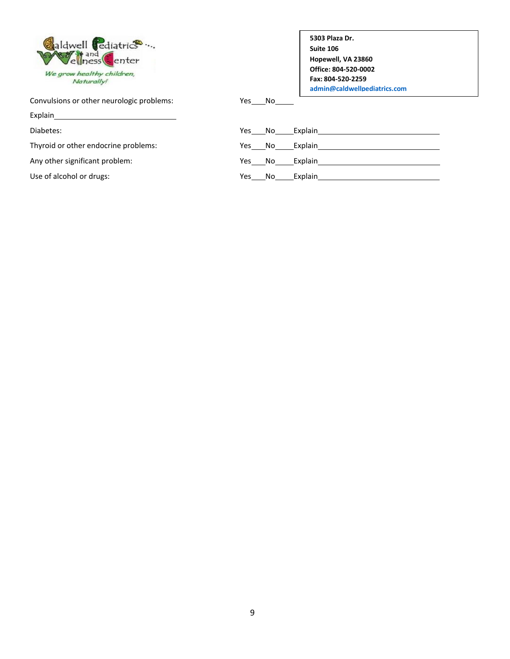| aldwell rediatrics<br>ellness Center    |  |
|-----------------------------------------|--|
| We grow healthy children,<br>Naturally! |  |

Convulsions or other neurologic problems: Ves \_\_\_ No\_

Explain

Diabetes:

Thyroid or other endocrine problems:

Any other significant problem:

Use of alcohol or drugs:

| 5303 Plaza Dr.               |
|------------------------------|
| Suite 106                    |
| Hopewell, VA 23860           |
| Office: 804-520-0002         |
| Fax: 804-520-2259            |
| admin@caldwellnediatrics.com |

| Yes No |        | Explain |
|--------|--------|---------|
|        | Yes No | Explain |
|        | Yes No | Explain |
| Yes    | No     | Explain |

**Caldwellpediatrics.com**